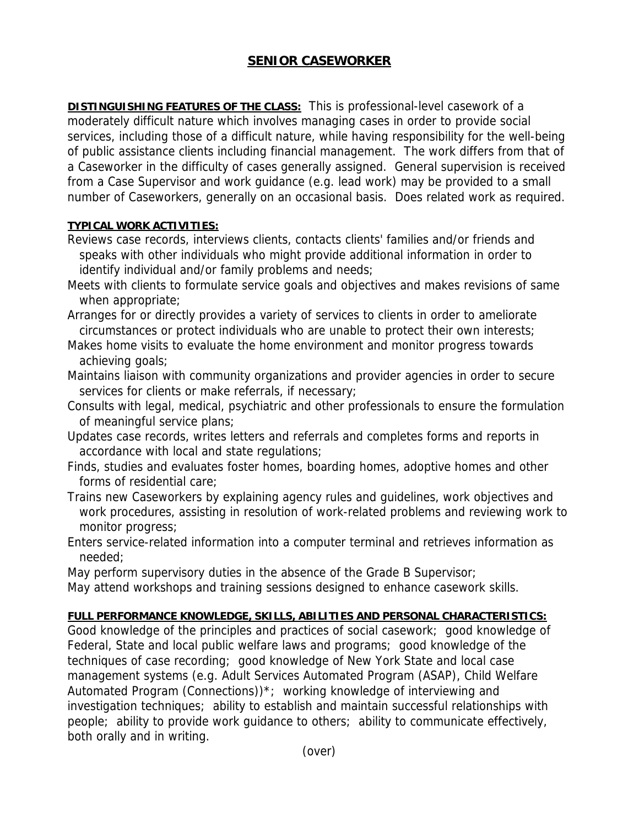## **SENIOR CASEWORKER**

**DISTINGUISHING FEATURES OF THE CLASS:** This is professional-level casework of a moderately difficult nature which involves managing cases in order to provide social services, including those of a difficult nature, while having responsibility for the well-being of public assistance clients including financial management. The work differs from that of a Caseworker in the difficulty of cases generally assigned. General supervision is received from a Case Supervisor and work guidance (e.g. lead work) may be provided to a small number of Caseworkers, generally on an occasional basis. Does related work as required.

## **TYPICAL WORK ACTIVITIES:**

- Reviews case records, interviews clients, contacts clients' families and/or friends and speaks with other individuals who might provide additional information in order to identify individual and/or family problems and needs;
- Meets with clients to formulate service goals and objectives and makes revisions of same when appropriate;
- Arranges for or directly provides a variety of services to clients in order to ameliorate circumstances or protect individuals who are unable to protect their own interests;
- Makes home visits to evaluate the home environment and monitor progress towards achieving goals;
- Maintains liaison with community organizations and provider agencies in order to secure services for clients or make referrals, if necessary;
- Consults with legal, medical, psychiatric and other professionals to ensure the formulation of meaningful service plans;
- Updates case records, writes letters and referrals and completes forms and reports in accordance with local and state regulations;
- Finds, studies and evaluates foster homes, boarding homes, adoptive homes and other forms of residential care;
- Trains new Caseworkers by explaining agency rules and guidelines, work objectives and work procedures, assisting in resolution of work-related problems and reviewing work to monitor progress;
- Enters service-related information into a computer terminal and retrieves information as needed;
- May perform supervisory duties in the absence of the Grade B Supervisor;
- May attend workshops and training sessions designed to enhance casework skills.

## **FULL PERFORMANCE KNOWLEDGE, SKILLS, ABILITIES AND PERSONAL CHARACTERISTICS:**

Good knowledge of the principles and practices of social casework; good knowledge of Federal, State and local public welfare laws and programs; good knowledge of the techniques of case recording; good knowledge of New York State and local case management systems (e.g. Adult Services Automated Program (ASAP), Child Welfare Automated Program (Connections))\*; working knowledge of interviewing and investigation techniques; ability to establish and maintain successful relationships with people; ability to provide work guidance to others; ability to communicate effectively, both orally and in writing.